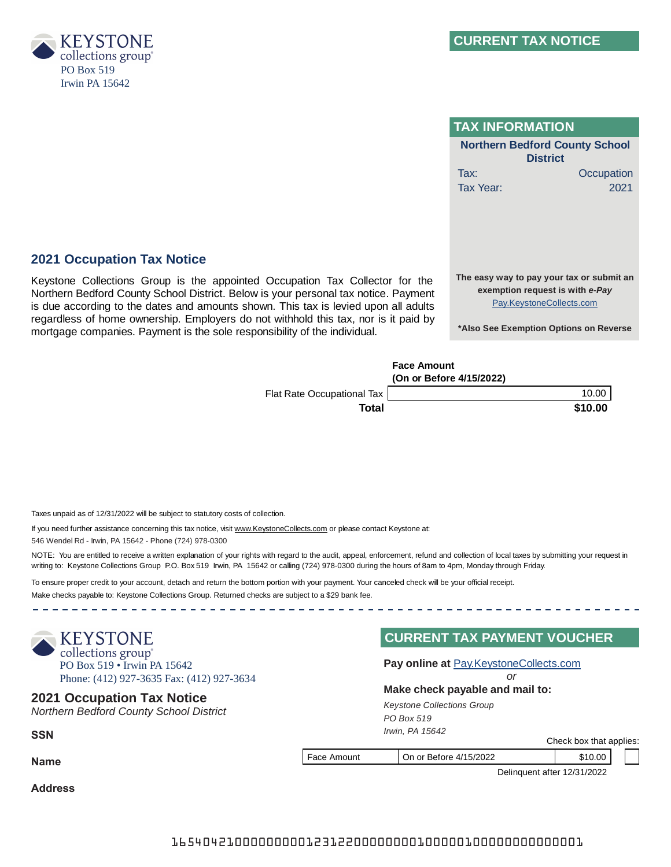

| <b>TAX INFORMATION</b>                                                                                   |  |  |
|----------------------------------------------------------------------------------------------------------|--|--|
| <b>Northern Bedford County School</b><br><b>District</b>                                                 |  |  |
| Tax:<br>Occupation                                                                                       |  |  |
| 2021<br>Tax Year:                                                                                        |  |  |
| The easy way to pay your tax or submit an<br>exemption request is with e-Pay<br>Pay.KeystoneCollects.com |  |  |
| *Also See Exemption Options on Reverse                                                                   |  |  |

# **Face Amount (On or Before 4/15/2022)** Flat Rate Occupational Tax | 10.00 **Total \$10.00 \$10.00 \$10.00 \$10.00 \$10.00 \$10.00 \$10.00 \$10.00 \$10.00 \$10.00 \$10.00 \$10.00 \$10.00 \$10.00 \$10.00 \$10.00 \$10.00 \$10.00 \$10.00 \$10.00 \$10.00 \$10.00 \$10.00 \$10.00 \$10.00 \$10.00 \$10.00 \$10.00 \$10.00 \$10.00 \$10.0**

*Keystone Collections Group*

**CURRENT TAX PAYMENT VOUCHER**

*or*

**Pay online at** Pay.KeystoneCollects.com

*PO Box 519 Irwin, PA 15642*

Taxes unpaid as of 12/31/2022 will be subject to statutory costs of collection.

If you need further assistance concerning this tax notice, visit www.KeystoneCollects.com or please contact Keystone at:

Keystone Collections Group is the appointed Occupation Tax Collector for the Northern Bedford County School District. Below is your personal tax notice. Payment is due according to the dates and amounts shown. This tax is levied upon all adults regardless of home ownership. Employers do not withhold this tax, nor is it paid by

mortgage companies. Payment is the sole responsibility of the individual.

546 Wendel Rd - Irwin, PA 15642 - Phone (724) 978-0300

**2021 Occupation Tax Notice**

NOTE: You are entitled to receive a written explanation of your rights with regard to the audit, appeal, enforcement, refund and collection of local taxes by submitting your request in writing to: Keystone Collections Group P.O. Box 519 Irwin, PA 15642 or calling (724) 978-0300 during the hours of 8am to 4pm, Monday through Friday.

To ensure proper credit to your account, detach and return the bottom portion with your payment. Your canceled check will be your official receipt.

Make checks payable to: Keystone Collections Group. Returned checks are subject to a \$29 bank fee.



**Make check payable and mail to: <sup>2021</sup> Occupation Tax Notice**

*Northern Bedford County School District*

**SSN**

**Name**

Face Amount On or Before 4/15/2022 \$10.00

Check box that applies:

Delinquent after 12/31/2022

**Address**